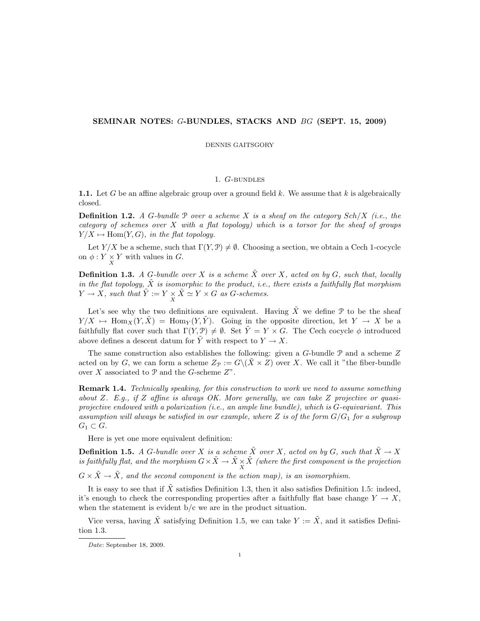# SEMINAR NOTES: G-BUNDLES, STACKS AND BG (SEPT. 15, 2009)

DENNIS GAITSGORY

# 1. G-bundles

1.1. Let G be an affine algebraic group over a ground field  $k$ . We assume that  $k$  is algebraically closed.

**Definition 1.2.** A G-bundle  $P$  over a scheme X is a sheaf on the category Sch/X (i.e., the category of schemes over  $X$  with a flat topology) which is a torsor for the sheaf of groups  $Y/X \mapsto \text{Hom}(Y, G)$ , in the flat topology.

Let  $Y/X$  be a scheme, such that  $\Gamma(Y, \mathcal{P}) \neq \emptyset$ . Choosing a section, we obtain a Cech 1-cocycle on  $\phi: Y \underset{X}{\times} Y$  with values in G.

**Definition 1.3.** A G-bundle over X is a scheme  $\tilde{X}$  over X, acted on by G, such that, locally in the flat topology,  $\tilde{X}$  is isomorphic to the product, i.e., there exists a faithfully flat morphism  $Y \to X$ , such that  $\tilde{Y} := Y \times \tilde{X} \simeq Y \times G$  as G-schemes.

Let's see why the two definitions are equivalent. Having  $\tilde{X}$  we define P to be the sheaf  $Y/X \to \text{Hom}_X(Y, X) = \text{Hom}_Y(Y, Y)$ . Going in the opposite direction, let  $Y \to X$  be a faithfully flat cover such that  $\Gamma(Y, \mathcal{P}) \neq \emptyset$ . Set  $\tilde{Y} = Y \times G$ . The Cech cocycle  $\phi$  introduced above defines a descent datum for  $\tilde{Y}$  with respect to  $Y \to X$ .

The same construction also establishes the following: given a  $G$ -bundle  $\mathcal P$  and a scheme  $Z$ acted on by G, we can form a scheme  $Z_{\mathcal{P}} := G \setminus (\dot{X} \times Z)$  over X. We call it "the fiber-bundle over X associated to  $P$  and the G-scheme  $Z$ ".

Remark 1.4. Technically speaking, for this construction to work we need to assume something about Z. E.g., if Z affine is always OK. More generally, we can take Z projective or quasiprojective endowed with a polarization (i.e., an ample line bundle), which is G-equivariant. This assumption will always be satisfied in our example, where Z is of the form  $G/G_1$  for a subgroup  $G_1 \subset G$ .

Here is yet one more equivalent definition:

**Definition 1.5.** A G-bundle over X is a scheme  $\tilde{X}$  over X, acted on by G, such that  $\tilde{X} \to X$ is faithfully flat, and the morphism  $G\times \tilde X\to \tilde X\times \tilde X$  (where the first component is the projection

 $G \times \tilde{X} \to \tilde{X}$ , and the second component is the action map), is an isomorphism.

It is easy to see that if  $\tilde{X}$  satisfies Definition 1.3, then it also satisfies Definition 1.5: indeed, it's enough to check the corresponding properties after a faithfully flat base change  $Y \to X$ , when the statement is evident b/c we are in the product situation.

Vice versa, having  $\tilde{X}$  satisfying Definition 1.5, we can take  $Y := \tilde{X}$ , and it satisfies Definition 1.3.

Date: September 18, 2009.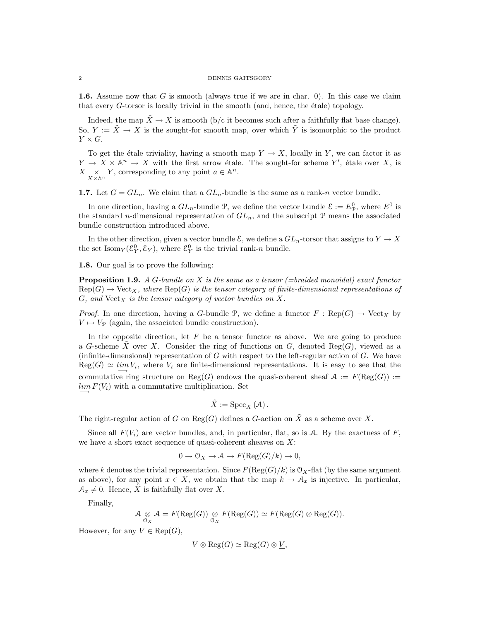### 2 DENNIS GAITSGORY

1.6. Assume now that G is smooth (always true if we are in char. 0). In this case we claim that every  $G$ -torsor is locally trivial in the smooth (and, hence, the étale) topology.

Indeed, the map  $\ddot{X} \rightarrow X$  is smooth (b/c it becomes such after a faithfully flat base change). So,  $Y := \tilde{X} \to X$  is the sought-for smooth map, over which  $\tilde{Y}$  is isomorphic to the product  $Y \times G$ .

To get the étale triviality, having a smooth map  $Y \to X$ , locally in Y, we can factor it as  $Y \to X \times \mathbb{A}^n \to X$  with the first arrow étale. The sought-for scheme Y', étale over X, is  $X \underset{X \times \mathbb{A}^n}{\times} Y$ , corresponding to any point  $a \in \mathbb{A}^n$ .

**1.7.** Let  $G = GL_n$ . We claim that a  $GL_n$ -bundle is the same as a rank-n vector bundle.

In one direction, having a  $GL_n$ -bundle  $\mathcal{P}$ , we define the vector bundle  $\mathcal{E} := E_{\mathcal{P}}^0$ , where  $E^0$  is the standard *n*-dimensional representation of  $GL_n$ , and the subscript  $P$  means the associated bundle construction introduced above.

In the other direction, given a vector bundle  $\mathcal{E}$ , we define a  $GL_n$ -torsor that assigns to  $Y \to X$ the set  $\text{Isom}_Y(\mathcal{E}_Y^0, \mathcal{E}_Y)$ , where  $\mathcal{E}_Y^0$  is the trivial rank-n bundle.

1.8. Our goal is to prove the following:

**Proposition 1.9.** A G-bundle on X is the same as a tensor (=braided monoidal) exact functor  $Rep(G) \to Vect_X$ , where  $Rep(G)$  is the tensor category of finite-dimensional representations of  $G$ , and  $Vect_X$  is the tensor category of vector bundles on X.

*Proof.* In one direction, having a G-bundle P, we define a functor  $F : \text{Rep}(G) \to \text{Vect}_X$  by  $V \mapsto V_{\mathcal{P}}$  (again, the associated bundle construction).

In the opposite direction, let  $F$  be a tensor functor as above. We are going to produce a G-scheme  $\tilde{X}$  over X. Consider the ring of functions on G, denoted Reg(G), viewed as a (infinite-dimensional) representation of  $G$  with respect to the left-regular action of  $G$ . We have  $Reg(G) \simeq \lim_{i \to \infty} V_i$ , where  $V_i$  are finite-dimensional representations. It is easy to see that the commutative ring structure on Reg(G) endows the quasi-coherent sheaf  $A := F(\text{Reg}(G)) :=$  $\lim_{n \to \infty} F(V_i)$  with a commutative multiplication. Set

$$
\tilde{X}:=\mathrm{Spec}_X\left(\mathcal{A}\right).
$$

The right-regular action of G on Reg(G) defines a G-action on  $\tilde{X}$  as a scheme over X.

Since all  $F(V_i)$  are vector bundles, and, in particular, flat, so is A. By the exactness of F, we have a short exact sequence of quasi-coherent sheaves on  $X$ :

$$
0 \to \mathcal{O}_X \to \mathcal{A} \to F(\mathrm{Reg}(G)/k) \to 0,
$$

where k denotes the trivial representation. Since  $F(\text{Reg}(G)/k)$  is  $\mathcal{O}_X$ -flat (by the same argument as above), for any point  $x \in X$ , we obtain that the map  $k \to \mathcal{A}_x$  is injective. In particular,  $\mathcal{A}_x \neq 0$ . Hence,  $\tilde{X}$  is faithfully flat over X.

Finally,

$$
\mathcal{A} \underset{\mathcal{O}_X}{\otimes} \mathcal{A} = F(\mathrm{Reg}(G)) \underset{\mathcal{O}_X}{\otimes} F(\mathrm{Reg}(G)) \simeq F(\mathrm{Reg}(G) \otimes \mathrm{Reg}(G)).
$$

However, for any  $V \in \text{Rep}(G)$ ,

$$
V \otimes \text{Reg}(G) \simeq \text{Reg}(G) \otimes \underline{V},
$$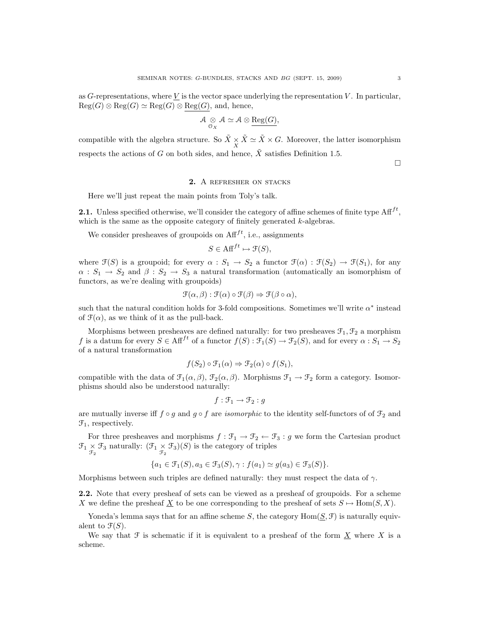as G-representations, where V is the vector space underlying the representation V. In particular,  $\text{Reg}(G) \otimes \text{Reg}(G) \simeq \text{Reg}(G) \otimes \text{Reg}(G)$ , and, hence,

$$
\mathcal{A} \underset{\mathcal{O}_X}{\otimes} \mathcal{A} \simeq \mathcal{A} \otimes \underline{\text{Reg}(G)},
$$

compatible with the algebra structure. So  $\tilde{X} \times \tilde{X} \simeq \tilde{X} \times G$ . Moreover, the latter isomorphism respects the actions of G on both sides, and hence,  $\tilde{X}$  satisfies Definition 1.5.  $\Box$ 

# 2. A refresher on stacks

Here we'll just repeat the main points from Toly's talk.

**2.1.** Unless specified otherwise, we'll consider the category of affine schemes of finite type  $\text{Aff}^{ft}$ , which is the same as the opposite category of finitely generated k-algebras.

We consider presheaves of groupoids on  $\text{Aff}^{ft}$ , i.e., assignments

$$
S \in \text{Aff}^{ft} \mapsto \mathfrak{F}(S),
$$

where  $\mathfrak{F}(S)$  is a groupoid; for every  $\alpha : S_1 \to S_2$  a functor  $\mathfrak{F}(\alpha) : \mathfrak{F}(S_2) \to \mathfrak{F}(S_1)$ , for any  $\alpha : S_1 \to S_2$  and  $\beta : S_2 \to S_3$  a natural transformation (automatically an isomorphism of functors, as we're dealing with groupoids)

$$
\mathcal{F}(\alpha,\beta) : \mathcal{F}(\alpha) \circ \mathcal{F}(\beta) \Rightarrow \mathcal{F}(\beta \circ \alpha),
$$

such that the natural condition holds for 3-fold compositions. Sometimes we'll write  $\alpha^*$  instead of  $\mathcal{F}(\alpha)$ , as we think of it as the pull-back.

Morphisms between presheaves are defined naturally: for two presheaves  $\mathfrak{F}_1, \mathfrak{F}_2$  a morphism f is a datum for every  $S \in \text{Aff}^{ft}$  of a functor  $f(S) : \tilde{\mathcal{F}_1}(S) \to \tilde{\mathcal{F}_2}(S)$ , and for every  $\alpha : S_1 \to S_2$ of a natural transformation

$$
f(S_2) \circ \mathcal{F}_1(\alpha) \Rightarrow \mathcal{F}_2(\alpha) \circ f(S_1),
$$

compatible with the data of  $\mathcal{F}_1(\alpha,\beta)$ ,  $\mathcal{F}_2(\alpha,\beta)$ . Morphisms  $\mathcal{F}_1 \to \mathcal{F}_2$  form a category. Isomorphisms should also be understood naturally:

$$
f: \mathfrak{F}_1 \to \mathfrak{F}_2: g
$$

are mutually inverse iff  $f \circ g$  and  $g \circ f$  are *isomorphic* to the identity self-functors of of  $\mathcal{F}_2$  and  $\mathfrak{F}_1$ , respectively.

For three presheaves and morphisms  $f : \mathcal{F}_1 \to \mathcal{F}_2 \leftarrow \mathcal{F}_3 : g$  we form the Cartesian product  $\mathfrak{F}_1 \times \mathfrak{F}_3$  naturally:  $(\mathfrak{F}_1 \times \mathfrak{F}_3)(S)$  is the category of triples

$$
\{a_1 \in \mathcal{F}_1(S), a_3 \in \mathcal{F}_3(S), \gamma : f(a_1) \simeq g(a_3) \in \mathcal{F}_3(S)\}.
$$

Morphisms between such triples are defined naturally: they must respect the data of  $\gamma$ .

2.2. Note that every presheaf of sets can be viewed as a presheaf of groupoids. For a scheme X we define the presheaf X to be one corresponding to the presheaf of sets  $S \mapsto \text{Hom}(S, X)$ .

Yoneda's lemma says that for an affine scheme S, the category  $\text{Hom}(\underline{S}, \mathcal{F})$  is naturally equivalent to  $\mathfrak{F}(S)$ .

We say that  $\mathcal F$  is schematic if it is equivalent to a presheaf of the form  $\underline X$  where X is a scheme.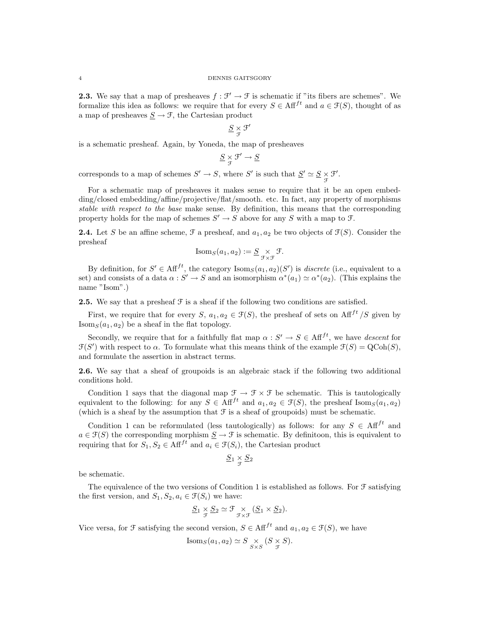**2.3.** We say that a map of presheaves  $f : \mathcal{F}' \to \mathcal{F}$  is schematic if "its fibers are schemes". We formalize this idea as follows: we require that for every  $S \in \text{Aff}^{ft}$  and  $a \in \mathcal{F}(S)$ , thought of as a map of presheaves  $S \to \mathcal{F}$ , the Cartesian product

$$
\underline{S}\underset{\mathcal{F}}{\times}\mathcal{F}'
$$

is a schematic presheaf. Again, by Yoneda, the map of presheaves

$$
\underline{S} \underset{\mathcal{F}}{\times} \mathcal{F}' \to \underline{S}
$$

corresponds to a map of schemes  $S' \to S$ , where  $S'$  is such that  $\underline{S}' \simeq \underline{S} \underset{\mathcal{F}}{\times} \mathcal{F}'$ .

For a schematic map of presheaves it makes sense to require that it be an open embedding/closed embedding/affine/projective/flat/smooth. etc. In fact, any property of morphisms stable with respect to the base make sense. By definition, this means that the corresponding property holds for the map of schemes  $S' \to S$  above for any S with a map to  $\mathfrak{F}$ .

**2.4.** Let S be an affine scheme,  $\mathcal{F}$  a presheaf, and  $a_1, a_2$  be two objects of  $\mathcal{F}(S)$ . Consider the presheaf

Isom<sub>S</sub>
$$
(a_1, a_2) := \underline{S} \underset{\mathcal{F} \times \mathcal{F}}{\times} \mathcal{F}.
$$

By definition, for  $S' \in \text{Aff}^{ft}$ , the category  $\text{Isom}_S(a_1, a_2)(S')$  is *discrete* (i.e., equivalent to a set) and consists of a data  $\alpha: S' \to S$  and an isomorphism  $\alpha^*(a_1) \simeq \alpha^*(a_2)$ . (This explains the name "Isom".)

**2.5.** We say that a presheaf  $\mathcal{F}$  is a sheaf if the following two conditions are satisfied.

First, we require that for every S,  $a_1, a_2 \in \mathcal{F}(S)$ , the presheaf of sets on Aff<sup>ft</sup> /S given by  $\text{Isom}_S(a_1, a_2)$  be a sheaf in the flat topology.

Secondly, we require that for a faithfully flat map  $\alpha : S' \to S \in \text{Aff}^{ft}$ , we have descent for  $\mathfrak{F}(S')$  with respect to  $\alpha$ . To formulate what this means think of the example  $\mathfrak{F}(S) = \mathrm{QCoh}(S)$ , and formulate the assertion in abstract terms.

2.6. We say that a sheaf of groupoids is an algebraic stack if the following two additional conditions hold.

Condition 1 says that the diagonal map  $\mathcal{F} \to \mathcal{F} \times \mathcal{F}$  be schematic. This is tautologically equivalent to the following: for any  $S \in \text{Aff}^{ft}$  and  $a_1, a_2 \in \mathcal{F}(S)$ , the presheaf Isom $\text{sg}(a_1, a_2)$ (which is a sheaf by the assumption that  $\mathcal F$  is a sheaf of groupoids) must be schematic.

Condition 1 can be reformulated (less tautologically) as follows: for any  $S \in Aff^{ft}$  and  $a \in \mathcal{F}(S)$  the corresponding morphism  $\underline{S} \to \mathcal{F}$  is schematic. By definitoon, this is equivalent to requiring that for  $S_1, S_2 \in \text{Aff}^{ft}$  and  $a_i \in \mathcal{F}(S_i)$ , the Cartesian product

$$
\underline{S}_1 \underset{\mathfrak{F}}{\times} \underline{S}_2
$$

be schematic.

The equivalence of the two versions of Condition 1 is established as follows. For  $\mathcal F$  satisfying the first version, and  $S_1, S_2, a_i \in \mathcal{F}(S_i)$  we have:

$$
\underline{S}_1 \underset{\mathcal{F}}{\times} \underline{S}_2 \simeq \mathcal{F} \underset{\mathcal{F} \times \mathcal{F}}{\times} (\underline{S}_1 \times \underline{S}_2).
$$

Vice versa, for  $\mathcal F$  satisfying the second version,  $S \in \text{Aff}^{ft}$  and  $a_1, a_2 \in \mathcal F(S)$ , we have

Isom<sub>S</sub>
$$
(a_1, a_2) \simeq S \underset{S \times S}{\times} (S \underset{\mathfrak{F}}{\times} S).
$$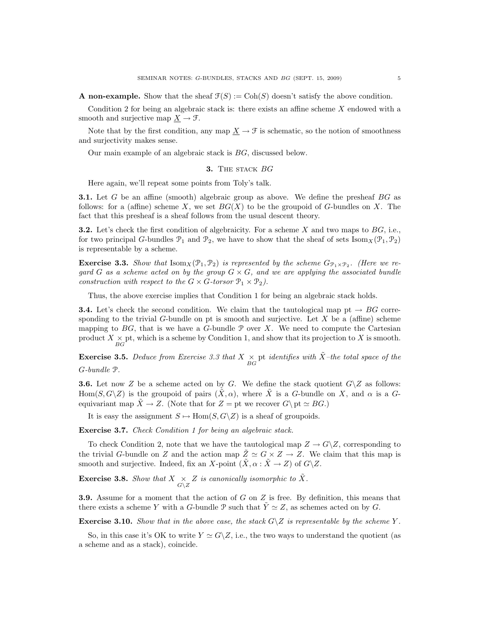**A** non-example. Show that the sheaf  $\mathcal{F}(S) := \text{Coh}(S)$  doesn't satisfy the above condition.

Condition 2 for being an algebraic stack is: there exists an affine scheme X endowed with a smooth and surjective map  $\underline{X} \to \mathcal{F}$ .

Note that by the first condition, any map  $\underline{X} \to \mathcal{F}$  is schematic, so the notion of smoothness and surjectivity makes sense.

Our main example of an algebraic stack is BG, discussed below.

### **3.** THE STACK  $BG$

Here again, we'll repeat some points from Toly's talk.

**3.1.** Let G be an affine (smooth) algebraic group as above. We define the presheaf BG as follows: for a (affine) scheme X, we set  $BG(X)$  to be the groupoid of G-bundles on X. The fact that this presheaf is a sheaf follows from the usual descent theory.

**3.2.** Let's check the first condition of algebraicity. For a scheme X and two maps to  $BG$ , i.e., for two principal G-bundles  $\mathcal{P}_1$  and  $\mathcal{P}_2$ , we have to show that the sheaf of sets Isom  $_X(\mathcal{P}_1, \mathcal{P}_2)$ is representable by a scheme.

**Exercise 3.3.** Show that  $\text{Isom}_X(\mathcal{P}_1, \mathcal{P}_2)$  is represented by the scheme  $G_{\mathcal{P}_1 \times \mathcal{P}_2}$ . (Here we regard G as a scheme acted on by the group  $G \times G$ , and we are applying the associated bundle construction with respect to the  $G \times G$ -torsor  $\mathcal{P}_1 \times \mathcal{P}_2$ ).

Thus, the above exercise implies that Condition 1 for being an algebraic stack holds.

**3.4.** Let's check the second condition. We claim that the tautological map pt  $\rightarrow BG$  corresponding to the trivial G-bundle on pt is smooth and surjective. Let  $X$  be a (affine) scheme mapping to  $BG$ , that is we have a G-bundle  $\mathcal P$  over X. We need to compute the Cartesian product  $X \underset{BG}{\times}$  pt, which is a scheme by Condition 1, and show that its projection to X is smooth.

**Exercise 3.5.** Deduce from Exercise 3.3 that  $X \underset{BG}{\times}$  pt identifies with  $\tilde{X}$ -the total space of the G-bundle P.

**3.6.** Let now Z be a scheme acted on by G. We define the stack quotient  $G\setminus Z$  as follows: Hom(S, G\Z) is the groupoid of pairs  $(\tilde{X}, \alpha)$ , where  $\tilde{X}$  is a G-bundle on X, and  $\alpha$  is a Gequivariant map  $\tilde{X} \to Z$ . (Note that for  $Z = pt$  we recover  $G \backslash pt \simeq BG$ .)

It is easy the assignment  $S \mapsto \text{Hom}(S, G \backslash Z)$  is a sheaf of groupoids.

Exercise 3.7. Check Condition 1 for being an algebraic stack.

To check Condition 2, note that we have the tautological map  $Z \to G\backslash Z$ , corresponding to the trivial G-bundle on Z and the action map  $\tilde{Z} \simeq G \times Z \to Z$ . We claim that this map is smooth and surjective. Indeed, fix an X-point  $(\tilde{X}, \alpha : \tilde{X} \to Z)$  of  $G\backslash Z$ .

**Exercise 3.8.** Show that  $X \underset{G\setminus Z}{\times} Z$  is canonically isomorphic to  $\tilde{X}$ .

3.9. Assume for a moment that the action of G on Z is free. By definition, this means that there exists a scheme Y with a G-bundle  $\mathcal P$  such that  $Y \simeq Z$ , as schemes acted on by G.

**Exercise 3.10.** Show that in the above case, the stack  $G\ Z$  is representable by the scheme Y.

So, in this case it's OK to write  $Y \simeq G\backslash Z$ , i.e., the two ways to understand the quotient (as a scheme and as a stack), coincide.